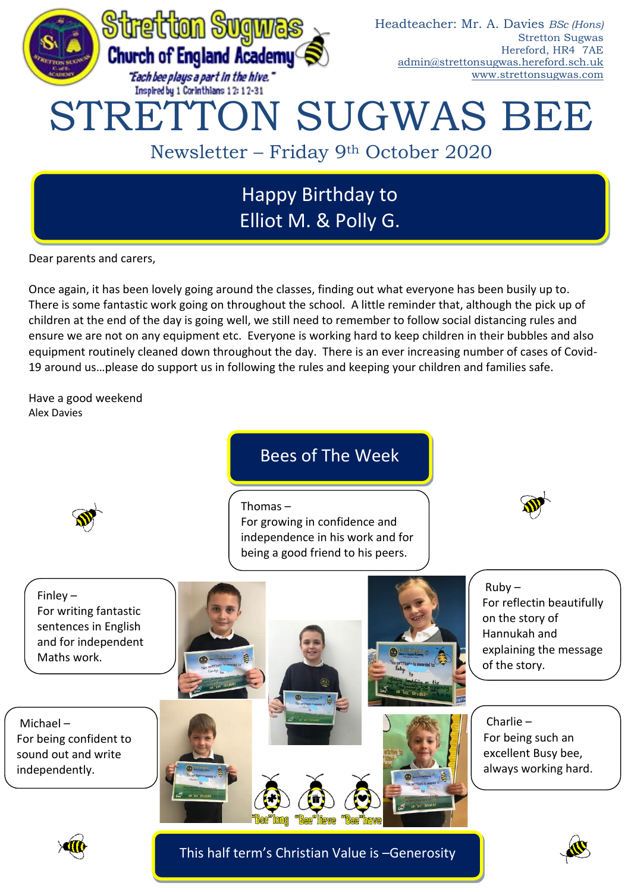

# Happy Birthday to Elliot M. & Polly G.

Dear parents and carers,

Once again, it has been lovely going around the classes, finding out what everyone has been busily up to. There is some fantastic work going on throughout the school. A little reminder that, although the pick up of children at the end of the day is going well, we still need to remember to follow social distancing rules and ensure we are not on any equipment etc. Everyone is working hard to keep children in their bubbles and also equipment routinely cleaned down throughout the day. There is an ever increasing number of cases of Covid-19 around us…please do support us in following the rules and keeping your children and families safe.

Have a good weekend Alex Davies

## Bees of The Week

Thomas –

For growing in confidence and independence in his work and for being a good friend to his peers.



Finley – For writing fantastic sentences in English and for independent Maths work.

Michael – For being confident to sound out and write independently.



For reflectin beautifully on the story of Hannukah and explaining the message of the story.

Charlie – For being such an excellent Busy bee, always working hard.



This half term's Christian Value is –Generosity